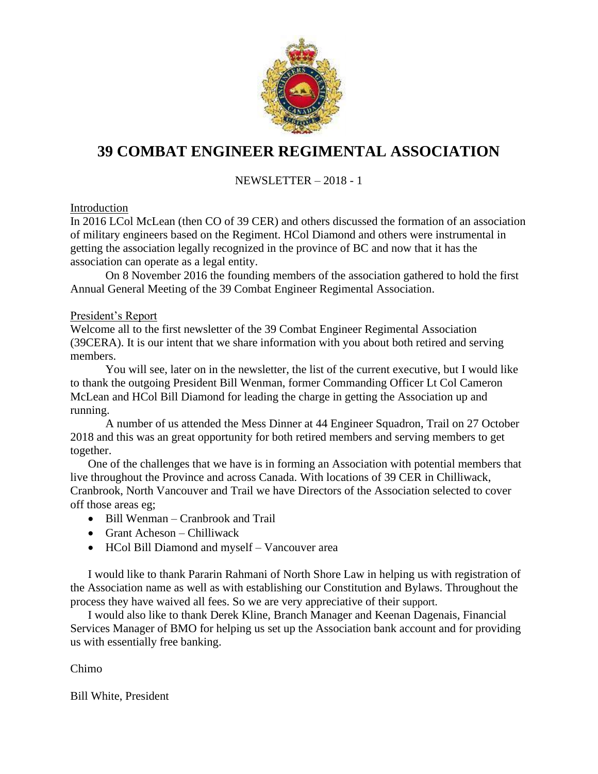

# **39 COMBAT ENGINEER REGIMENTAL ASSOCIATION**

# NEWSLETTER – 2018 - 1

#### Introduction

In 2016 LCol McLean (then CO of 39 CER) and others discussed the formation of an association of military engineers based on the Regiment. HCol Diamond and others were instrumental in getting the association legally recognized in the province of BC and now that it has the association can operate as a legal entity.

On 8 November 2016 the founding members of the association gathered to hold the first Annual General Meeting of the 39 Combat Engineer Regimental Association.

#### President's Report

Welcome all to the first newsletter of the 39 Combat Engineer Regimental Association (39CERA). It is our intent that we share information with you about both retired and serving members.

You will see, later on in the newsletter, the list of the current executive, but I would like to thank the outgoing President Bill Wenman, former Commanding Officer Lt Col Cameron McLean and HCol Bill Diamond for leading the charge in getting the Association up and running.

A number of us attended the Mess Dinner at 44 Engineer Squadron, Trail on 27 October 2018 and this was an great opportunity for both retired members and serving members to get together.

One of the challenges that we have is in forming an Association with potential members that live throughout the Province and across Canada. With locations of 39 CER in Chilliwack, Cranbrook, North Vancouver and Trail we have Directors of the Association selected to cover off those areas eg;

- Bill Wenman Cranbrook and Trail
- Grant Acheson Chilliwack
- HCol Bill Diamond and myself Vancouver area

I would like to thank Pararin Rahmani of North Shore Law in helping us with registration of the Association name as well as with establishing our Constitution and Bylaws. Throughout the process they have waived all fees. So we are very appreciative of their support.

I would also like to thank Derek Kline, Branch Manager and Keenan Dagenais, Financial Services Manager of BMO for helping us set up the Association bank account and for providing us with essentially free banking.

Chimo

Bill White, President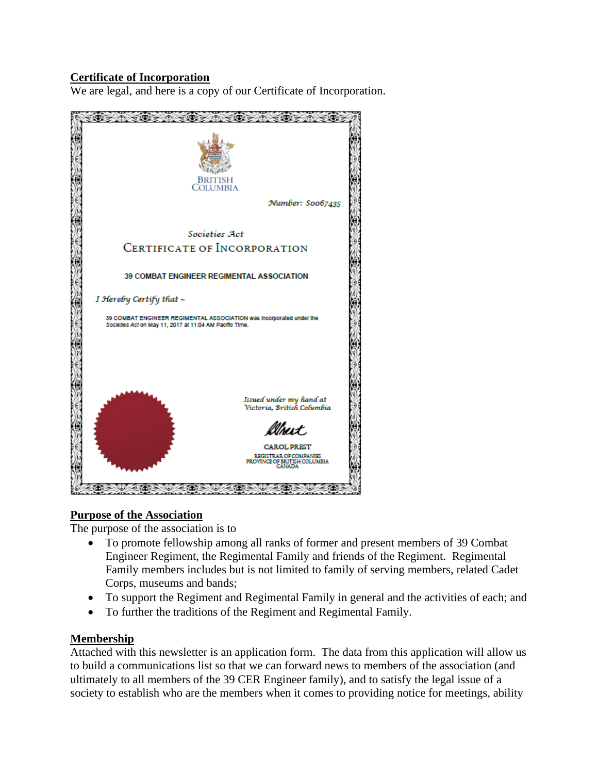### **Certificate of Incorporation**

We are legal, and here is a copy of our Certificate of Incorporation.



#### **Purpose of the Association**

The purpose of the association is to

- To promote fellowship among all ranks of former and present members of 39 Combat Engineer Regiment, the Regimental Family and friends of the Regiment. Regimental Family members includes but is not limited to family of serving members, related Cadet Corps, museums and bands;
- To support the Regiment and Regimental Family in general and the activities of each; and
- To further the traditions of the Regiment and Regimental Family.

#### **Membership**

Attached with this newsletter is an application form. The data from this application will allow us to build a communications list so that we can forward news to members of the association (and ultimately to all members of the 39 CER Engineer family), and to satisfy the legal issue of a society to establish who are the members when it comes to providing notice for meetings, ability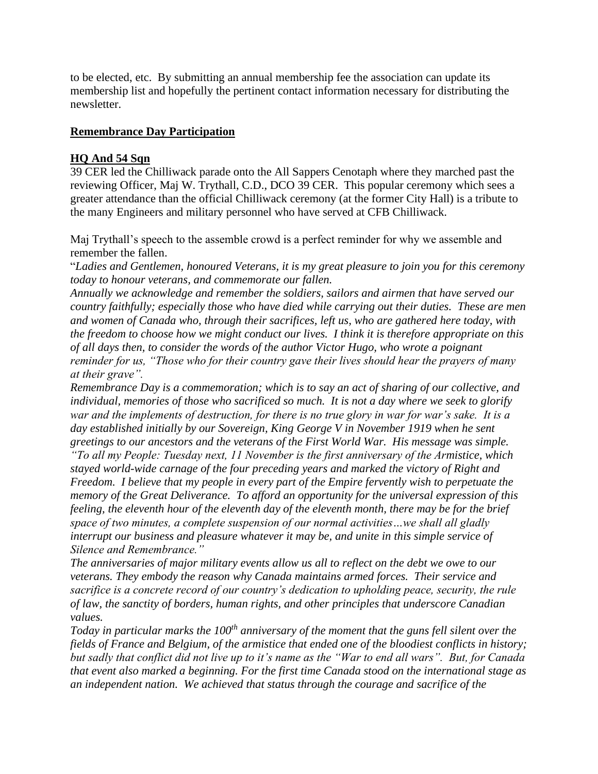to be elected, etc. By submitting an annual membership fee the association can update its membership list and hopefully the pertinent contact information necessary for distributing the newsletter.

#### **Remembrance Day Participation**

#### **HQ And 54 Sqn**

39 CER led the Chilliwack parade onto the All Sappers Cenotaph where they marched past the reviewing Officer, Maj W. Trythall, C.D., DCO 39 CER. This popular ceremony which sees a greater attendance than the official Chilliwack ceremony (at the former City Hall) is a tribute to the many Engineers and military personnel who have served at CFB Chilliwack.

Maj Trythall's speech to the assemble crowd is a perfect reminder for why we assemble and remember the fallen.

"*Ladies and Gentlemen, honoured Veterans, it is my great pleasure to join you for this ceremony today to honour veterans, and commemorate our fallen.*

*Annually we acknowledge and remember the soldiers, sailors and airmen that have served our country faithfully; especially those who have died while carrying out their duties. These are men and women of Canada who, through their sacrifices, left us, who are gathered here today, with the freedom to choose how we might conduct our lives. I think it is therefore appropriate on this of all days then, to consider the words of the author Victor Hugo, who wrote a poignant reminder for us, "Those who for their country gave their lives should hear the prayers of many at their grave".* 

*Remembrance Day is a commemoration; which is to say an act of sharing of our collective, and individual, memories of those who sacrificed so much. It is not a day where we seek to glorify war and the implements of destruction, for there is no true glory in war for war's sake. It is a day established initially by our Sovereign, King George V in November 1919 when he sent greetings to our ancestors and the veterans of the First World War. His message was simple.* 

*"To all my People: Tuesday next, 11 November is the first anniversary of the Armistice, which stayed world-wide carnage of the four preceding years and marked the victory of Right and Freedom. I believe that my people in every part of the Empire fervently wish to perpetuate the memory of the Great Deliverance. To afford an opportunity for the universal expression of this feeling, the eleventh hour of the eleventh day of the eleventh month, there may be for the brief space of two minutes, a complete suspension of our normal activities…we shall all gladly interrupt our business and pleasure whatever it may be, and unite in this simple service of Silence and Remembrance."*

*The anniversaries of major military events allow us all to reflect on the debt we owe to our veterans. They embody the reason why Canada maintains armed forces. Their service and sacrifice is a concrete record of our country's dedication to upholding peace, security, the rule of law, the sanctity of borders, human rights, and other principles that underscore Canadian values.* 

*Today in particular marks the 100th anniversary of the moment that the guns fell silent over the fields of France and Belgium, of the armistice that ended one of the bloodiest conflicts in history; but sadly that conflict did not live up to it's name as the "War to end all wars". But, for Canada that event also marked a beginning. For the first time Canada stood on the international stage as an independent nation. We achieved that status through the courage and sacrifice of the*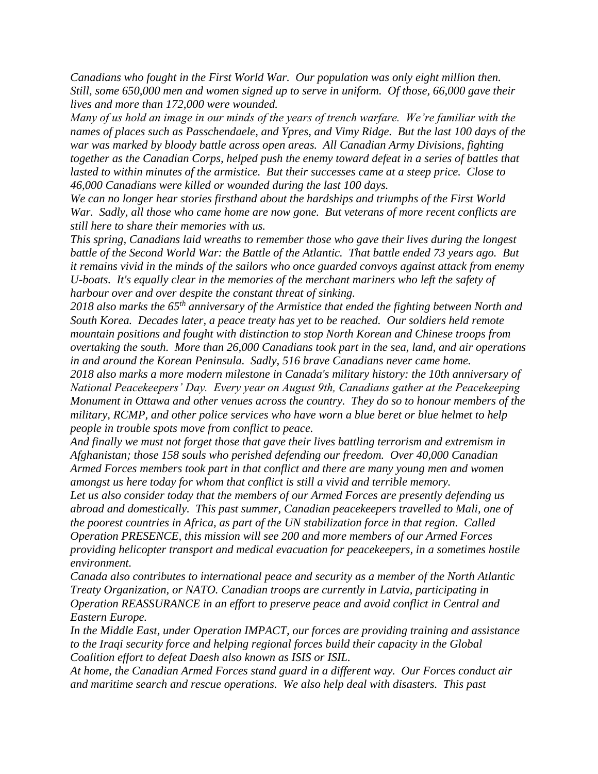*Canadians who fought in the First World War. Our population was only eight million then. Still, some 650,000 men and women signed up to serve in uniform. Of those, 66,000 gave their lives and more than 172,000 were wounded.*

*Many of us hold an image in our minds of the years of trench warfare. We're familiar with the names of places such as Passchendaele, and Ypres, and Vimy Ridge. But the last 100 days of the war was marked by bloody battle across open areas. All Canadian Army Divisions, fighting together as the Canadian Corps, helped push the enemy toward defeat in a series of battles that lasted to within minutes of the armistice. But their successes came at a steep price. Close to 46,000 Canadians were killed or wounded during the last 100 days.*

*We can no longer hear stories firsthand about the hardships and triumphs of the First World War. Sadly, all those who came home are now gone. But veterans of more recent conflicts are still here to share their memories with us.* 

*This spring, Canadians laid wreaths to remember those who gave their lives during the longest battle of the Second World War: the Battle of the Atlantic. That battle ended 73 years ago. But it remains vivid in the minds of the sailors who once guarded convoys against attack from enemy U-boats. It's equally clear in the memories of the merchant mariners who left the safety of harbour over and over despite the constant threat of sinking.*

*2018 also marks the 65th anniversary of the Armistice that ended the fighting between North and South Korea. Decades later, a peace treaty has yet to be reached. Our soldiers held remote mountain positions and fought with distinction to stop North Korean and Chinese troops from overtaking the south. More than 26,000 Canadians took part in the sea, land, and air operations in and around the Korean Peninsula. Sadly, 516 brave Canadians never came home.*

*2018 also marks a more modern milestone in Canada's military history: the 10th anniversary of National Peacekeepers' Day. Every year on August 9th, Canadians gather at the Peacekeeping Monument in Ottawa and other venues across the country. They do so to honour members of the military, RCMP, and other police services who have worn a blue beret or blue helmet to help people in trouble spots move from conflict to peace.*

*And finally we must not forget those that gave their lives battling terrorism and extremism in Afghanistan; those 158 souls who perished defending our freedom. Over 40,000 Canadian Armed Forces members took part in that conflict and there are many young men and women amongst us here today for whom that conflict is still a vivid and terrible memory.*

*Let us also consider today that the members of our Armed Forces are presently defending us abroad and domestically. This past summer, Canadian peacekeepers travelled to Mali, one of the poorest countries in Africa, as part of the UN stabilization force in that region. Called Operation PRESENCE, this mission will see 200 and more members of our Armed Forces providing helicopter transport and medical evacuation for peacekeepers, in a sometimes hostile environment.*

*Canada also contributes to international peace and security as a member of the North Atlantic Treaty Organization, or NATO. Canadian troops are currently in Latvia, participating in Operation REASSURANCE in an effort to preserve peace and avoid conflict in Central and Eastern Europe.*

*In the Middle East, under Operation IMPACT, our forces are providing training and assistance to the Iraqi security force and helping regional forces build their capacity in the Global Coalition effort to defeat Daesh also known as ISIS or ISIL.* 

*At home, the Canadian Armed Forces stand guard in a different way. Our Forces conduct air and maritime search and rescue operations. We also help deal with disasters. This past*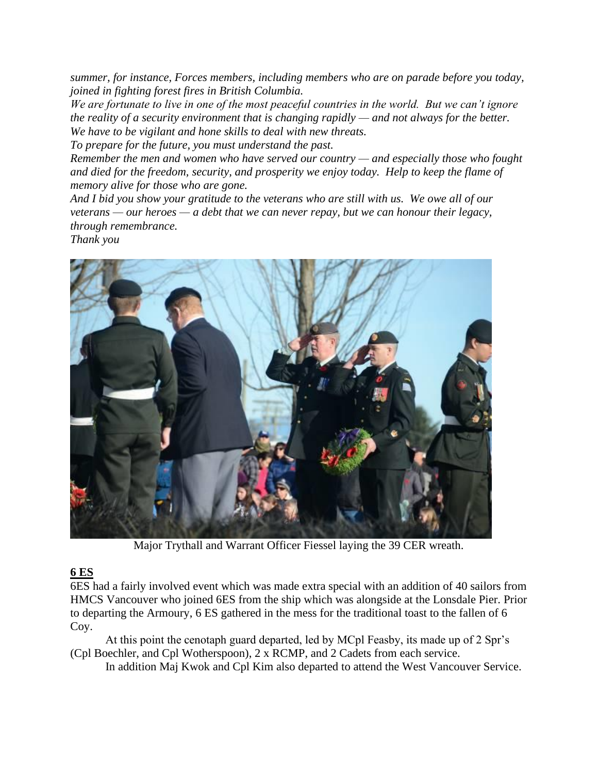*summer, for instance, Forces members, including members who are on parade before you today, joined in fighting forest fires in British Columbia.*

*We are fortunate to live in one of the most peaceful countries in the world. But we can't ignore the reality of a security environment that is changing rapidly — and not always for the better. We have to be vigilant and hone skills to deal with new threats.*

*To prepare for the future, you must understand the past.*

*Remember the men and women who have served our country — and especially those who fought and died for the freedom, security, and prosperity we enjoy today. Help to keep the flame of memory alive for those who are gone.*

*And I bid you show your gratitude to the veterans who are still with us. We owe all of our veterans — our heroes — a debt that we can never repay, but we can honour their legacy, through remembrance.*

*Thank you*



Major Trythall and Warrant Officer Fiessel laying the 39 CER wreath.

# **6 ES**

6ES had a fairly involved event which was made extra special with an addition of 40 sailors from HMCS Vancouver who joined 6ES from the ship which was alongside at the Lonsdale Pier. Prior to departing the Armoury, 6 ES gathered in the mess for the traditional toast to the fallen of 6 Coy.

At this point the cenotaph guard departed, led by MCpl Feasby, its made up of 2 Spr's (Cpl Boechler, and Cpl Wotherspoon), 2 x RCMP, and 2 Cadets from each service.

In addition Maj Kwok and Cpl Kim also departed to attend the West Vancouver Service.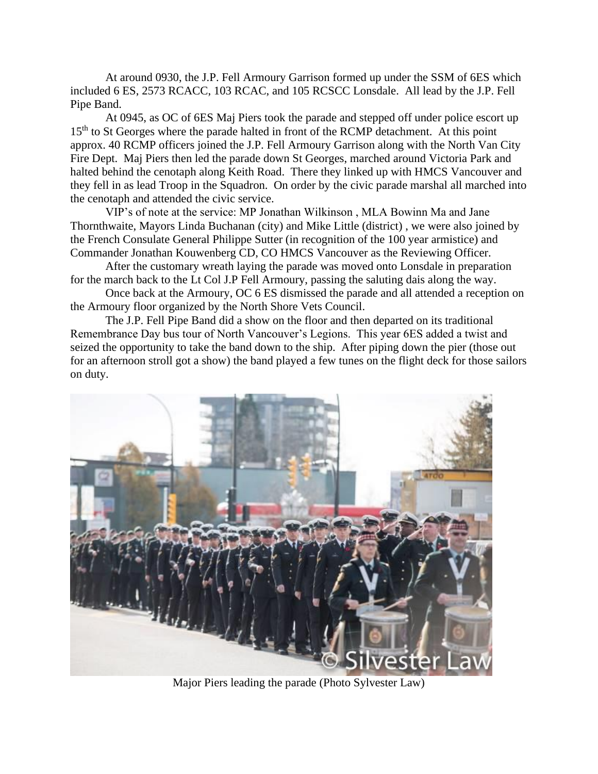At around 0930, the J.P. Fell Armoury Garrison formed up under the SSM of 6ES which included 6 ES, 2573 RCACC, 103 RCAC, and 105 RCSCC Lonsdale. All lead by the J.P. Fell Pipe Band.

At 0945, as OC of 6ES Maj Piers took the parade and stepped off under police escort up 15<sup>th</sup> to St Georges where the parade halted in front of the RCMP detachment. At this point approx. 40 RCMP officers joined the J.P. Fell Armoury Garrison along with the North Van City Fire Dept. Maj Piers then led the parade down St Georges, marched around Victoria Park and halted behind the cenotaph along Keith Road. There they linked up with HMCS Vancouver and they fell in as lead Troop in the Squadron. On order by the civic parade marshal all marched into the cenotaph and attended the civic service.

VIP's of note at the service: MP Jonathan Wilkinson , MLA Bowinn Ma and Jane Thornthwaite, Mayors Linda Buchanan (city) and Mike Little (district) , we were also joined by the French Consulate General Philippe Sutter (in recognition of the 100 year armistice) and Commander Jonathan Kouwenberg CD, CO HMCS Vancouver as the Reviewing Officer.

After the customary wreath laying the parade was moved onto Lonsdale in preparation for the march back to the Lt Col J.P Fell Armoury, passing the saluting dais along the way.

Once back at the Armoury, OC 6 ES dismissed the parade and all attended a reception on the Armoury floor organized by the North Shore Vets Council.

The J.P. Fell Pipe Band did a show on the floor and then departed on its traditional Remembrance Day bus tour of North Vancouver's Legions. This year 6ES added a twist and seized the opportunity to take the band down to the ship. After piping down the pier (those out for an afternoon stroll got a show) the band played a few tunes on the flight deck for those sailors on duty.



Major Piers leading the parade (Photo Sylvester Law)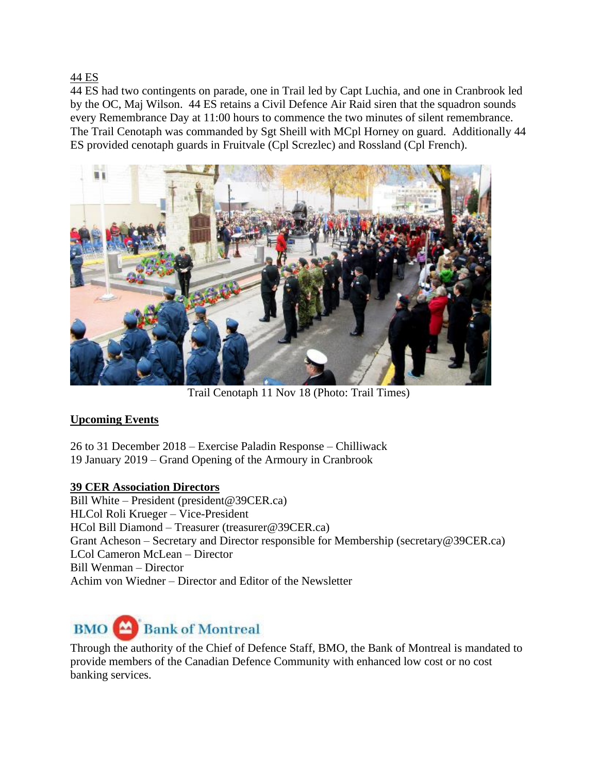44 ES

44 ES had two contingents on parade, one in Trail led by Capt Luchia, and one in Cranbrook led by the OC, Maj Wilson. 44 ES retains a Civil Defence Air Raid siren that the squadron sounds every Remembrance Day at 11:00 hours to commence the two minutes of silent remembrance. The Trail Cenotaph was commanded by Sgt Sheill with MCpl Horney on guard. Additionally 44 ES provided cenotaph guards in Fruitvale (Cpl Screzlec) and Rossland (Cpl French).



Trail Cenotaph 11 Nov 18 (Photo: Trail Times)

#### **Upcoming Events**

26 to 31 December 2018 – Exercise Paladin Response – Chilliwack 19 January 2019 – Grand Opening of the Armoury in Cranbrook

#### **39 CER Association Directors**

Bill White – President (president@39CER.ca) HLCol Roli Krueger – Vice-President HCol Bill Diamond – Treasurer (treasurer@39CER.ca) Grant Acheson – Secretary and Director responsible for Membership (secretary@39CER.ca) LCol Cameron McLean – Director Bill Wenman – Director Achim von Wiedner – Director and Editor of the Newsletter

# **BMO** Bank of Montreal

Through the authority of the Chief of Defence Staff, BMO, the Bank of Montreal is mandated to provide members of the Canadian Defence Community with enhanced low cost or no cost banking services.